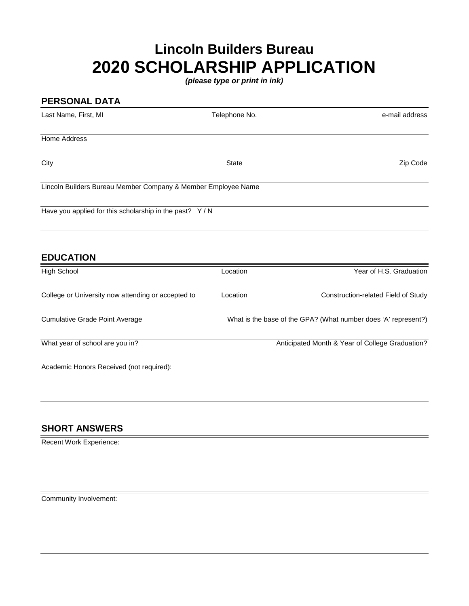## **Lincoln Builders Bureau 2020 SCHOLARSHIP APPLICATION**

*(please type or print in ink)*

| <b>PERSONAL DATA</b>                                          |               |                                                                |
|---------------------------------------------------------------|---------------|----------------------------------------------------------------|
| Last Name, First, MI                                          | Telephone No. | e-mail address                                                 |
| <b>Home Address</b>                                           |               |                                                                |
| City                                                          | <b>State</b>  | Zip Code                                                       |
| Lincoln Builders Bureau Member Company & Member Employee Name |               |                                                                |
| Have you applied for this scholarship in the past? Y/N        |               |                                                                |
| <b>EDUCATION</b>                                              |               |                                                                |
| <b>High School</b>                                            | Location      | Year of H.S. Graduation                                        |
| College or University now attending or accepted to            | Location      | Construction-related Field of Study                            |
| <b>Cumulative Grade Point Average</b>                         |               | What is the base of the GPA? (What number does 'A' represent?) |
| What year of school are you in?                               |               | Anticipated Month & Year of College Graduation?                |
| Academic Honors Received (not required):                      |               |                                                                |

## **SHORT ANSWERS**

Recent Work Experience:

Community Involvement: